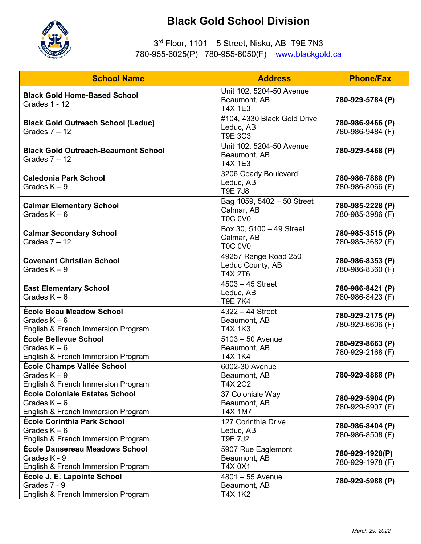

## **Black Gold School Division**

## 3rd Floor, 1101 – 5 Street, Nisku, AB T9E 7N3 780-955-6025(P) 780-955-6050(F) [www.blackgold.ca](http://www.blackgold.ca/)

| <b>School Name</b>                                                                            | <b>Address</b>                                             | <b>Phone/Fax</b>                     |
|-----------------------------------------------------------------------------------------------|------------------------------------------------------------|--------------------------------------|
| <b>Black Gold Home-Based School</b><br><b>Grades 1 - 12</b>                                   | Unit 102, 5204-50 Avenue<br>Beaumont, AB<br><b>T4X 1E3</b> | 780-929-5784 (P)                     |
| <b>Black Gold Outreach School (Leduc)</b><br>Grades $7 - 12$                                  | #104, 4330 Black Gold Drive<br>Leduc, AB<br><b>T9E 3C3</b> | 780-986-9466 (P)<br>780-986-9484 (F) |
| <b>Black Gold Outreach-Beaumont School</b><br>Grades $7 - 12$                                 | Unit 102, 5204-50 Avenue<br>Beaumont, AB<br><b>T4X 1E3</b> | 780-929-5468 (P)                     |
| <b>Caledonia Park School</b><br>Grades $K - 9$                                                | 3206 Coady Boulevard<br>Leduc, AB<br><b>T9E 7J8</b>        | 780-986-7888 (P)<br>780-986-8066 (F) |
| <b>Calmar Elementary School</b><br>Grades $K - 6$                                             | Bag 1059, 5402 - 50 Street<br>Calmar, AB<br><b>T0C 0V0</b> | 780-985-2228 (P)<br>780-985-3986 (F) |
| <b>Calmar Secondary School</b><br>Grades $7 - 12$                                             | Box 30, 5100 - 49 Street<br>Calmar, AB<br><b>T0C 0V0</b>   | 780-985-3515 (P)<br>780-985-3682 (F) |
| <b>Covenant Christian School</b><br>Grades $K - 9$                                            | 49257 Range Road 250<br>Leduc County, AB<br><b>T4X 2T6</b> | 780-986-8353 (P)<br>780-986-8360 (F) |
| <b>East Elementary School</b><br>Grades $K - 6$                                               | $4503 - 45$ Street<br>Leduc, AB<br><b>T9E 7K4</b>          | 780-986-8421 (P)<br>780-986-8423 (F) |
| <b>École Beau Meadow School</b><br>Grades $K - 6$<br>English & French Immersion Program       | $4322 - 44$ Street<br>Beaumont, AB<br><b>T4X 1K3</b>       | 780-929-2175 (P)<br>780-929-6606 (F) |
| École Bellevue School<br>Grades $K - 6$<br>English & French Immersion Program                 | $5103 - 50$ Avenue<br>Beaumont, AB<br>T4X 1K4              | 780-929-8663 (P)<br>780-929-2168 (F) |
| École Champs Vallée School<br>Grades $K - 9$<br>English & French Immersion Program            | 6002-30 Avenue<br>Beaumont, AB<br>T4X 2C2                  | 780-929-8888 (P)                     |
| <b>École Coloniale Estates School</b><br>Grades $K - 6$<br>English & French Immersion Program | 37 Coloniale Way<br>Beaumont, AB<br><b>T4X 1M7</b>         | 780-929-5904 (P)<br>780-929-5907 (F) |
| <b>École Corinthia Park School</b><br>Grades $K - 6$<br>English & French Immersion Program    | 127 Corinthia Drive<br>Leduc, AB<br><b>T9E 7J2</b>         | 780-986-8404 (P)<br>780-986-8508 (F) |
| <b>École Dansereau Meadows School</b><br>Grades K - 9<br>English & French Immersion Program   | 5907 Rue Eaglemont<br>Beaumont, AB<br>T4X 0X1              | 780-929-1928(P)<br>780-929-1978 (F)  |
| École J. E. Lapointe School<br>Grades 7 - 9<br>English & French Immersion Program             | 4801 - 55 Avenue<br>Beaumont, AB<br><b>T4X 1K2</b>         | 780-929-5988 (P)                     |